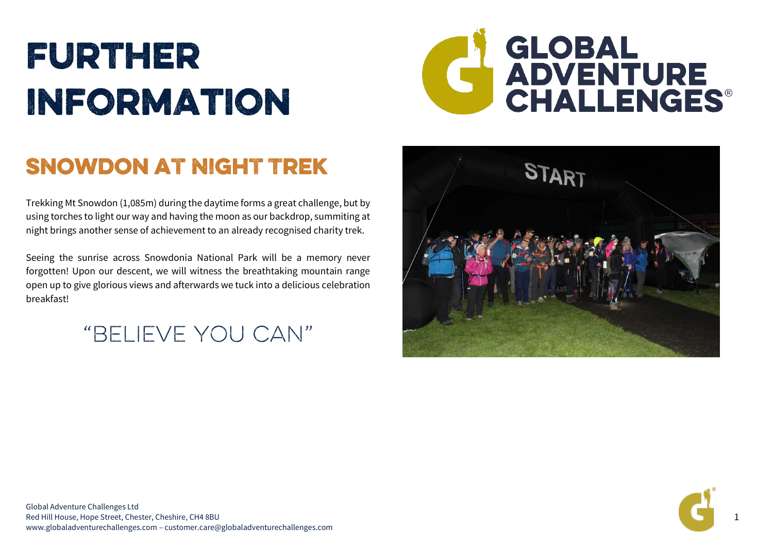# FURTHER **INFORMATION**



## SNOWDON AT NIGHT TREK

Trekking Mt Snowdon (1,085m) during the daytime forms a great challenge, but by using torches to light our way and having the moon as our backdrop, summiting at night brings another sense of achievement to an already recognised charity trek.

Seeing the sunrise across Snowdonia National Park will be a memory never forgotten! Upon our descent, we will witness the breathtaking mountain range open up to give glorious views and afterwards we tuck into a delicious celebration breakfast!

"BELIEVE YOU CAN"





1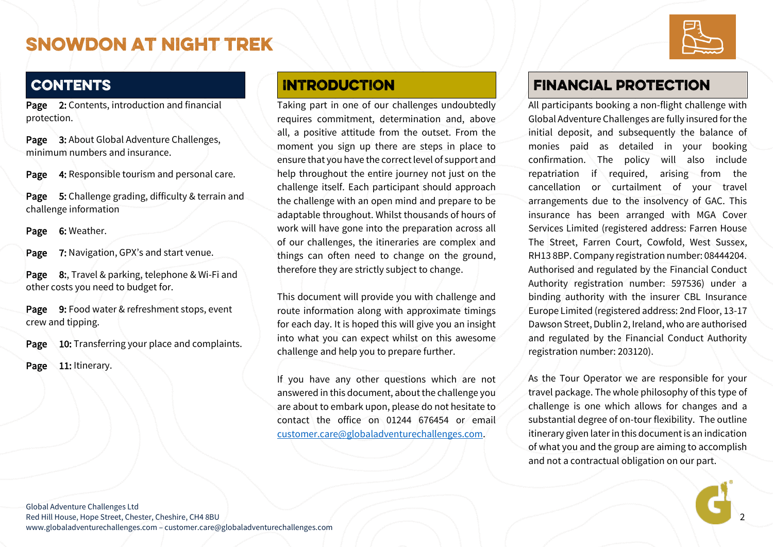

### **CONTENTS**

Page 2: Contents, introduction and financial protection.

Page 3: About Global Adventure Challenges, minimum numbers and insurance.

Page 4: Responsible tourism and personal care.

Page 5: Challenge grading, difficulty & terrain and challenge information

Page 6: Weather.

Page 7: Navigation, GPX's and start venue.

Page 8:, Travel & parking, telephone & Wi-Fi and other costs you need to budget for.

Page 9: Food water & refreshment stops, event crew and tipping.

Page 10: Transferring your place and complaints.

Page 11: Itinerary.

#### **INTRODUCTION**

Taking part in one of our challenges undoubtedly requires commitment, determination and, above all, a positive attitude from the outset. From the moment you sign up there are steps in place to ensure that you have the correct level of support and help throughout the entire journey not just on the challenge itself. Each participant should approach the challenge with an open mind and prepare to be adaptable throughout. Whilst thousands of hours of work will have gone into the preparation across all of our challenges, the itineraries are complex and things can often need to change on the ground, therefore they are strictly subject to change.

This document will provide you with challenge and route information along with approximate timings for each day. It is hoped this will give you an insight into what you can expect whilst on this awesome challenge and help you to prepare further.

If you have any other questions which are not answered in this document, about the challenge you are about to embark upon, please do not hesitate to contact the office on 01244 676454 or email [customer.care@globaladventurechallenges.com.](mailto:customer.care@globaladventurechallenges.com)

### **FINANCIAL PROTECTION**

All participants booking a non-flight challenge with Global Adventure Challenges are fully insured for the initial deposit, and subsequently the balance of monies paid as detailed in your booking confirmation. The policy will also include repatriation if required, arising from the cancellation or curtailment of your travel arrangements due to the insolvency of GAC. This insurance has been arranged with MGA Cover Services Limited (registered address: Farren House The Street, Farren Court, Cowfold, West Sussex, RH13 8BP. Company registration number: 08444204. Authorised and regulated by the Financial Conduct Authority registration number: 597536) under a binding authority with the insurer CBL Insurance Europe Limited (registered address: 2nd Floor, 13-17 Dawson Street, Dublin 2, Ireland, who are authorised and regulated by the Financial Conduct Authority registration number: 203120).

As the Tour Operator we are responsible for your travel package. The whole philosophy of this type of challenge is one which allows for changes and a substantial degree of on-tour flexibility. The outline itinerary given later in this document is an indication of what you and the group are aiming to accomplish and not a contractual obligation on our part.

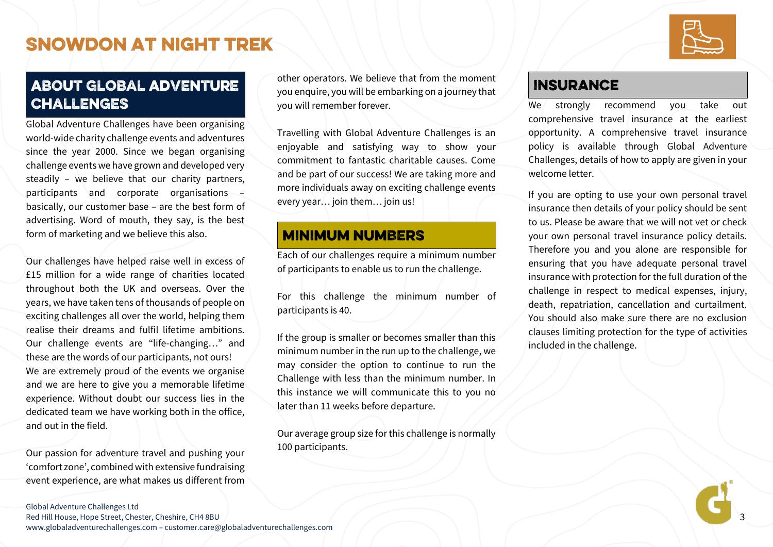

### **ABOUT GLOBAL ADVENTURE CHALLENGES**

Global Adventure Challenges have been organising world-wide charity challenge events and adventures since the year 2000. Since we began organising challenge events we have grown and developed very steadily – we believe that our charity partners, participants and corporate organisations – basically, our customer base – are the best form of advertising. Word of mouth, they say, is the best form of marketing and we believe this also.

Our challenges have helped raise well in excess of £15 million for a wide range of charities located throughout both the UK and overseas. Over the years, we have taken tens of thousands of people on exciting challenges all over the world, helping them realise their dreams and fulfil lifetime ambitions. Our challenge events are "life-changing…" and these are the words of our participants, not ours! We are extremely proud of the events we organise and we are here to give you a memorable lifetime experience. Without doubt our success lies in the dedicated team we have working both in the office, and out in the field.

Our passion for adventure travel and pushing your 'comfort zone', combined with extensive fundraising event experience, are what makes us different from

#### other operators. We believe that from the moment you enquire, you will be embarking on a journey that you will remember forever.

Travelling with Global Adventure Challenges is an enjoyable and satisfying way to show your commitment to fantastic charitable causes. Come and be part of our success! We are taking more and more individuals away on exciting challenge events every year… join them… join us!

### **MINIMUM NUMBERS**

Each of our challenges require a minimum number of participants to enable us to run the challenge.

For this challenge the minimum number of participants is 40.

If the group is smaller or becomes smaller than this minimum number in the run up to the challenge, we may consider the option to continue to run the Challenge with less than the minimum number. In this instance we will communicate this to you no later than 11 weeks before departure.

Our average group size for this challenge is normally 100 participants.

### **INSURANCE**

We strongly recommend you take out comprehensive travel insurance at the earliest opportunity. A comprehensive travel insurance policy is available through Global Adventure Challenges, details of how to apply are given in your welcome letter.

If you are opting to use your own personal travel insurance then details of your policy should be sent to us. Please be aware that we will not vet or check your own personal travel insurance policy details. Therefore you and you alone are responsible for ensuring that you have adequate personal travel insurance with protection for the full duration of the challenge in respect to medical expenses, injury, death, repatriation, cancellation and curtailment. You should also make sure there are no exclusion clauses limiting protection for the type of activities included in the challenge.

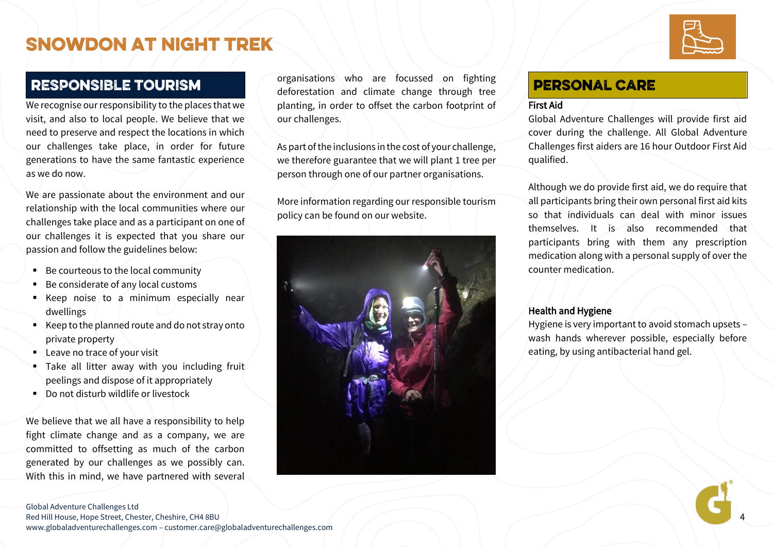### **RESPONSIBLE TOURISM**

We recognise our responsibility to the places that we visit, and also to local people. We believe that we need to preserve and respect the locations in which our challenges take place, in order for future generations to have the same fantastic experience as we do now.

We are passionate about the environment and our relationship with the local communities where our challenges take place and as a participant on one of our challenges it is expected that you share our passion and follow the guidelines below:

- Be courteous to the local community
- Be considerate of any local customs
- Keep noise to a minimum especially near dwellings
- Keep to the planned route and do not stray onto private property
- Leave no trace of your visit
- **.** Take all litter away with you including fruit peelings and dispose of it appropriately
- Do not disturb wildlife or livestock

We believe that we all have a responsibility to help fight climate change and as a company, we are committed to offsetting as much of the carbon generated by our challenges as we possibly can. With this in mind, we have partnered with several

organisations who are focussed on fighting deforestation and climate change through tree planting, in order to offset the carbon footprint of our challenges.

As part of the inclusions in the cost of your challenge, we therefore guarantee that we will plant 1 tree per person through one of our partner organisations.

More information regarding our responsible tourism policy can be found on our website.



### **PERSONAL CARE**

#### First Aid

Global Adventure Challenges will provide first aid cover during the challenge. All Global Adventure Challenges first aiders are 16 hour Outdoor First Aid qualified.

Although we do provide first aid, we do require that all participants bring their own personal first aid kits so that individuals can deal with minor issues themselves. It is also recommended that participants bring with them any prescription medication along with a personal supply of over the counter medication.

#### Health and Hygiene

Hygiene is very important to avoid stomach upsets – wash hands wherever possible, especially before eating, by using antibacterial hand gel.



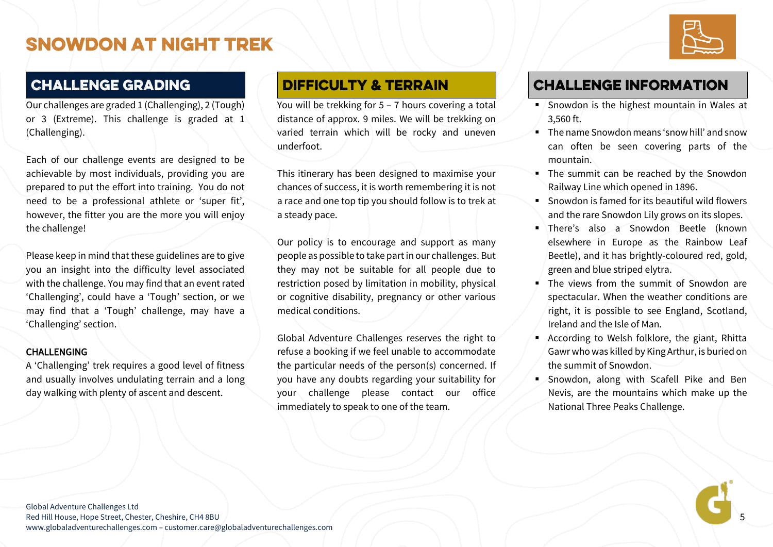### **CHALLENGE GRADING**

Our challenges are graded 1 (Challenging), 2 (Tough) or 3 (Extreme). This challenge is graded at 1 (Challenging).

Each of our challenge events are designed to be achievable by most individuals, providing you are prepared to put the effort into training. You do not need to be a professional athlete or 'super fit', however, the fitter you are the more you will enjoy the challenge!

Please keep in mind that these guidelines are to give you an insight into the difficulty level associated with the challenge. You may find that an event rated 'Challenging', could have a 'Tough' section, or we may find that a 'Tough' challenge, may have a 'Challenging' section.

#### CHALLENGING

A 'Challenging' trek requires a good level of fitness and usually involves undulating terrain and a long day walking with plenty of ascent and descent.

#### **DIFFICULTY & TERRAIN**

You will be trekking for 5 – 7 hours covering a total distance of approx. 9 miles. We will be trekking on varied terrain which will be rocky and uneven underfoot.

This itinerary has been designed to maximise your chances of success, it is worth remembering it is not a race and one top tip you should follow is to trek at a steady pace.

Our policy is to encourage and support as many people as possible to take part in our challenges. But they may not be suitable for all people due to restriction posed by limitation in mobility, physical or cognitive disability, pregnancy or other various medical conditions.

Global Adventure Challenges reserves the right to refuse a booking if we feel unable to accommodate the particular needs of the person(s) concerned. If you have any doubts regarding your suitability for your challenge please contact our office immediately to speak to one of the team.

### **CHALLENGE INFORMATION**

- Snowdon is the highest mountain in Wales at 3,560 ft.
- The name Snowdon means 'snow hill' and snow can often be seen covering parts of the mountain.
- **.** The summit can be reached by the Snowdon Railway Line which opened in 1896.
- Snowdon is famed for its beautiful wild flowers and the rare Snowdon Lily grows on its slopes.
- There's also a Snowdon Beetle (known elsewhere in Europe as the Rainbow Leaf Beetle), and it has brightly-coloured red, gold, green and blue striped elytra.
- **.** The views from the summit of Snowdon are spectacular. When the weather conditions are right, it is possible to see England, Scotland, Ireland and the Isle of Man.
- According to Welsh folklore, the giant, Rhitta Gawr who was killed by King Arthur, is buried on the summit of Snowdon.
- Snowdon, along with Scafell Pike and Ben Nevis, are the mountains which make up the National Three Peaks Challenge.

5

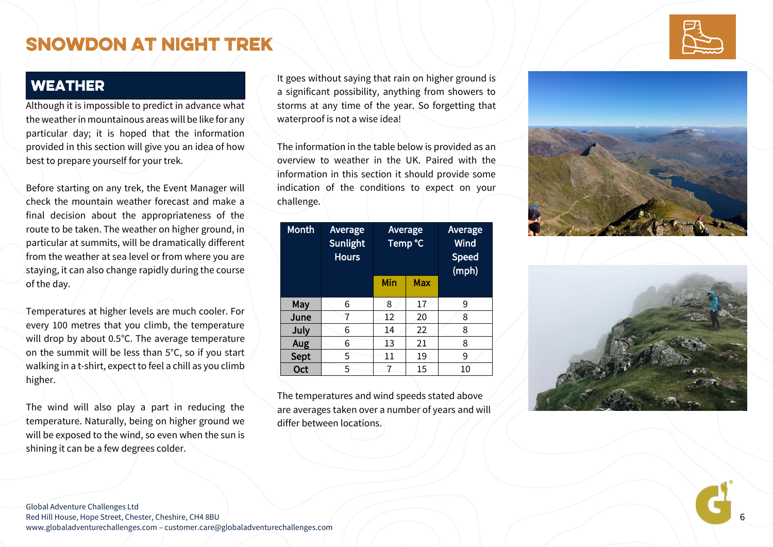### **WEATHER**

Although it is impossible to predict in advance what the weather in mountainous areas will be like for any particular day; it is hoped that the information provided in this section will give you an idea of how best to prepare yourself for your trek.

Before starting on any trek, the Event Manager will check the mountain weather forecast and make a final decision about the appropriateness of the route to be taken. The weather on higher ground, in particular at summits, will be dramatically different from the weather at sea level or from where you are staying, it can also change rapidly during the course of the day.

Temperatures at higher levels are much cooler. For every 100 metres that you climb, the temperature will drop by about 0.5°C. The average temperature on the summit will be less than 5°C, so if you start walking in a t -shirt, expect to feel a chill as you climb higher.

The wind will also play a part in reducing the temperature. Naturally, being on higher ground we will be exposed to the wind, so even when the sun is shining it can be a few degrees colder.

It goes without saying that rain on higher ground is a significant possibility, anything from showers to storms at any time of the year. So forgetting that waterproof is not a wise idea!

The information in the table below is provided as an overview to weather in the UK. Paired with the information in this section it should provide some indication of the conditions to expect on your challenge.

| <b>Month</b> | Average<br>Sunlight<br><b>Hours</b> | Average<br>Temp °C |     | Average<br><b>Wind</b><br><b>Speed</b><br>(mph) |
|--------------|-------------------------------------|--------------------|-----|-------------------------------------------------|
|              |                                     | Min                | Max |                                                 |
| May          | 6                                   | 8                  | 17  | 9                                               |
| June         |                                     | 12                 | 20  | 8                                               |
| July         | 6                                   | 14                 | 22  | 8                                               |
| Aug          | 6                                   | 13                 | 21  | 8                                               |
| Sept         | 5                                   | 11                 | 19  | 9                                               |
| Oct          | 5                                   |                    | 15  | 10                                              |

The temperatures and wind speeds stated above are averages taken over a number of years and will differ between locations.







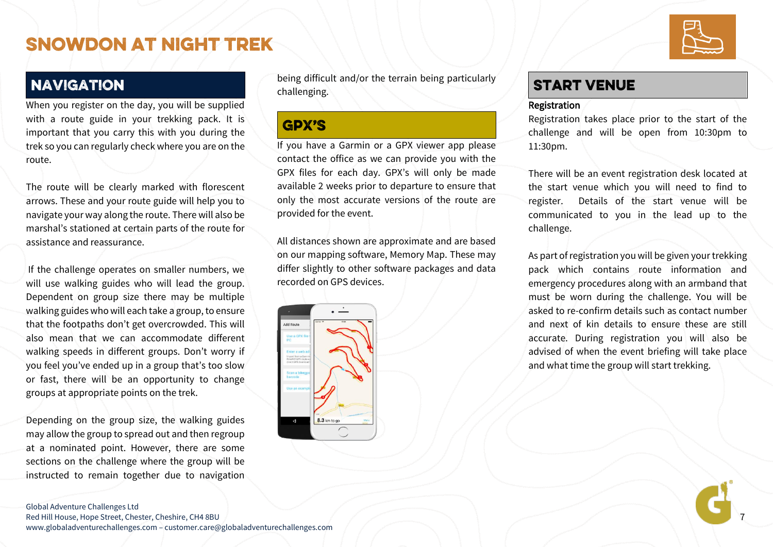7

### **NAVIGATION**

When you register on the day, you will be supplied with a route guide in your trekking pack. It is important that you carry this with you during the trek so you can regularly check where you are on the route.

The route will be clearly marked with florescent arrows. These and your route guide will help you to navigate your way along the route. There will also be marshal's stationed at certain parts of the route for assistance and reassurance.

If the challenge operates on smaller numbers, we will use walking guides who will lead the group. Dependent on group size there may be multiple walking guides who will each take a group, to ensure that the footpaths don't get overcrowded. This will also mean that we can accommodate different walking speeds in different groups. Don't worry if you feel you've ended up in a group that's too slow or fast, there will be an opportunity to change groups at appropriate points on the trek.

Depending on the group size, the walking guides may allow the group to spread out and then regroup at a nominated point. However, there are some sections on the challenge where the group will be instructed to remain together due to navigation

being difficult and/or the terrain being particularly challenging.

### **GPX'S**

If you have a Garmin or a GPX viewer app please contact the office as we can provide you with the GPX files for each day. GPX's will only be made available 2 weeks prior to departure to ensure that only the most accurate versions of the route are provided for the event.

All distances shown are approximate and are based on our mapping software, Memory Map. These may differ slightly to other software packages and data recorded on GPS devices.



### **START VENUE**

#### Registration

Registration takes place prior to the start of the challenge and will be open from 10:30pm to 11:30pm.

There will be an event registration desk located at the start venue which you will need to find to register. Details of the start venue will be communicated to you in the lead up to the challenge.

As part of registration you will be given your trekking pack which contains route information and emergency procedures along with an armband that must be worn during the challenge. You will be asked to re-confirm details such as contact number and next of kin details to ensure these are still accurate. During registration you will also be advised of when the event briefing will take place and what time the group will start trekking.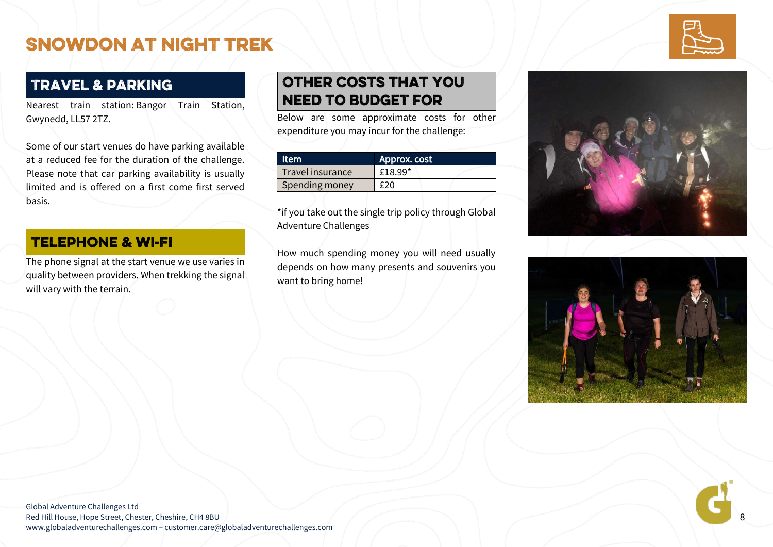### **TRAVEL & PARKING**

Nearest train station: Bangor Train Station, Gwynedd, LL57 2TZ.

Some of our start venues do have parking available at a reduced fee for the duration of the challenge. Please note that car parking availability is usually limited and is offered on a first come first served basis.

#### **TELEPHONE & WI-FI**

The phone signal at the start venue we use varies in quality between providers. When trekking the signal will vary with the terrain.

### **OTHER COSTS THAT YOU NEED TO BUDGET FOR**

Below are some approximate costs for other expenditure you may incur for the challenge:

| ltem             | Approx. cost |  |  |
|------------------|--------------|--|--|
| Travel insurance | £18.99*      |  |  |
| Spending money   | f 20         |  |  |

\*if you take out the single trip policy through Global Adventure Challenges

How much spending money you will need usually depends on how many presents and souvenirs you want to bring home!





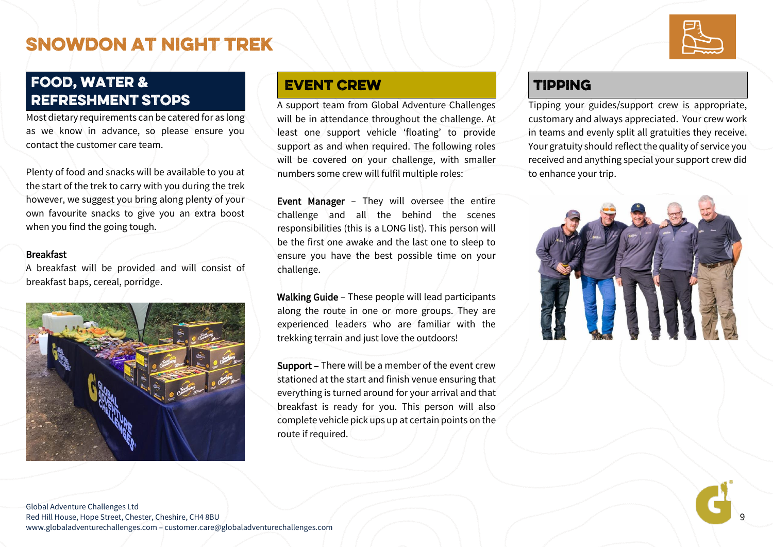### **FOOD, WATER & REFRESHMENT STOPS**

Most dietary requirements can be catered for as long as we know in advance, so please ensure you contact the customer care team.

Plenty of food and snacks will be available to you at the start of the trek to carry with you during the trek however, we suggest you bring along plenty of your own favourite snacks to give you an extra boost when you find the going tough.

#### **Breakfast**

A breakfast will be provided and will consist of breakfast baps, cereal, porridge.



#### **EVENT CREW**

A support team from Global Adventure Challenges will be in attendance throughout the challenge. At least one support vehicle 'floating' to provide support as and when required. The following roles will be covered on your challenge, with smaller numbers some crew will fulfil multiple roles:

Event Manager – They will oversee the entire challenge and all the behind the scenes responsibilities (this is a LONG list). This person will be the first one awake and the last one to sleep to ensure you have the best possible time on your challenge.

Walking Guide – These people will lead participants along the route in one or more groups. They are experienced leaders who are familiar with the trekking terrain and just love the outdoors!

Support – There will be a member of the event crew stationed at the start and finish venue ensuring that everything is turned around for your arrival and that breakfast is ready for you. This person will also complete vehicle pick ups up at certain points on the route if required.

### **TIPPING**

Tipping your guides/support crew is appropriate, customary and always appreciated. Your crew work in teams and evenly split all gratuities they receive. Your gratuity should reflect the quality of service you received and anything special your support crew did to enhance your trip.



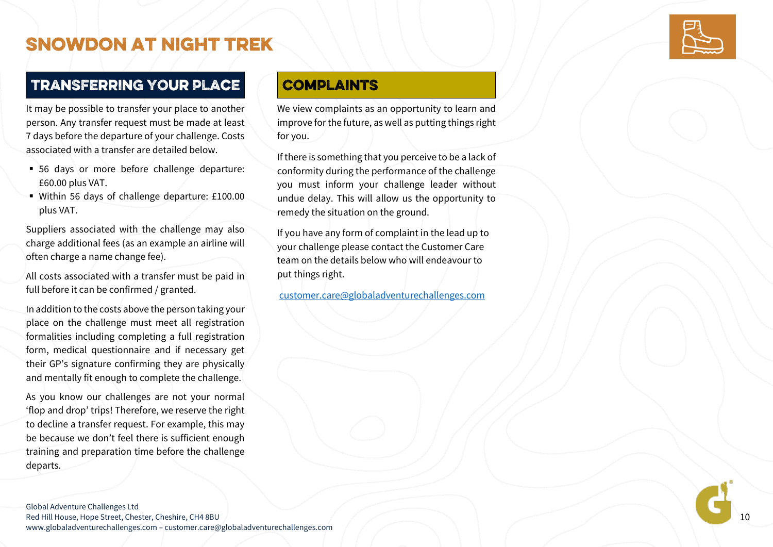### TRANSFERRING YOUR PLACE

It may be possible to transfer your place to another person. Any transfer request must be made at least 7 days before the departure of your challenge. Costs associated with a transfer are detailed below.

- 56 days or more before challenge departure: £60.00 plus VAT.
- Within 56 days of challenge departure: £100.00 plus VAT.

Suppliers associated with the challenge may also charge additional fees (as an example an airline will often charge a name change fee).

All costs associated with a transfer must be paid in full before it can be confirmed / granted.

In addition to the costs above the person taking your place on the challenge must meet all registration formalities including completing a full registration form, medical questionnaire and if necessary get their GP's signature confirming they are physically and mentally fit enough to complete the challenge.

As you know our challenges are not your normal 'flop and drop' trips! Therefore, we reserve the right to decline a transfer request. For example, this may be because we don't feel there is sufficient enough training and preparation time before the challenge departs.

### **COMPLAINTS**

We view complaints as an opportunity to learn and improve for the future, as well as putting things right for you.

If there is something that you perceive to be a lack of conformity during the performance of the challenge you must inform your challenge leader without undue delay. This will allow us the opportunity to remedy the situation on the ground.

If you have any form of complaint in the lead up to your challenge please contact the Customer Care team on the details below who will endeavour to put things right.

[customer.care@globaladventurechallenges.com](mailto:customer.care@globaladventurechallenges.com)



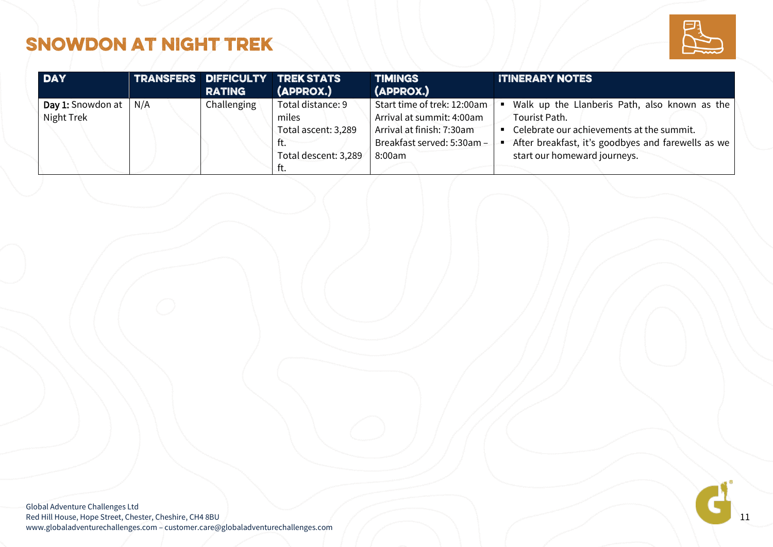

| <b>DAY</b>                                                |  | <b>RATING</b> | TRANSFERS DIFFICULTY TREK STATS<br>(APPROX.)                                             | <b>TIMINGS</b><br>(APPROX.)                                                                                                   | <b>ITINERARY NOTES</b>                                                                                                                                                                            |  |
|-----------------------------------------------------------|--|---------------|------------------------------------------------------------------------------------------|-------------------------------------------------------------------------------------------------------------------------------|---------------------------------------------------------------------------------------------------------------------------------------------------------------------------------------------------|--|
| <b>Day 1:</b> Snowdon at $\mid N/A \rangle$<br>Night Trek |  | Challenging   | Total distance: 9<br>miles<br>Total ascent: 3,289<br>1 L.<br>Total descent: 3,289<br>ıı. | Start time of trek: 12:00am<br>Arrival at summit: 4:00am<br>Arrival at finish: 7:30am<br>Breakfast served: 5:30am -<br>8:00am | Walk up the Llanberis Path, also known as the<br>Tourist Path.<br>Celebrate our achievements at the summit.<br>After breakfast, it's goodbyes and farewells as we<br>start our homeward journeys. |  |

Global Adventure Challenges Ltd Red Hill House, Hope Street, Chester, Cheshire, CH4 8BU www.globaladventurechallenges.com – customer.care@globaladventurechallenges.com